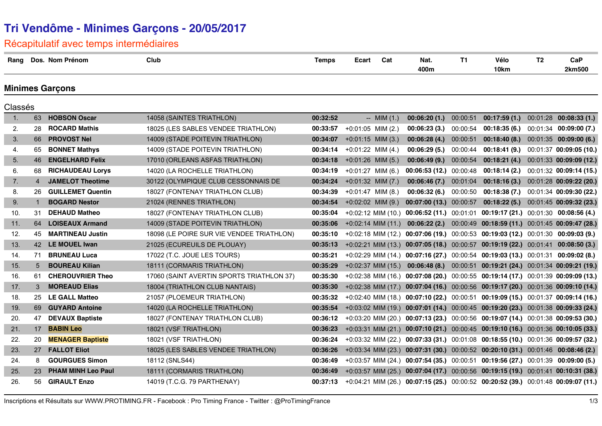# **Tri Vendôme - Minimes Garçons - 20/05/2017**

### Récapitulatif avec temps intermédiaires

| Rang    |                | Dos. Nom Prénom           | Club                                      | <b>Temps</b> | Ecart                | Cat            | Nat.<br>400m                                                                      | <b>T1</b> | Vélo<br>10km                                                         | T <sub>2</sub> | CaP<br>2km500            |
|---------|----------------|---------------------------|-------------------------------------------|--------------|----------------------|----------------|-----------------------------------------------------------------------------------|-----------|----------------------------------------------------------------------|----------------|--------------------------|
|         |                | <b>Minimes Garçons</b>    |                                           |              |                      |                |                                                                                   |           |                                                                      |                |                          |
| Classés |                |                           |                                           |              |                      |                |                                                                                   |           |                                                                      |                |                          |
| 1.      | 63             | <b>HOBSON Oscar</b>       | 14058 (SAINTES TRIATHLON)                 | 00:32:52     |                      | $-$ MIM $(1.)$ | 00:06:20(1.)                                                                      | 00:00:51  | 00:17:59(1.)                                                         |                | $00:01:28$ 00:08:33 (1.) |
| 2.      | 28             | <b>ROCARD Mathis</b>      | 18025 (LES SABLES VENDEE TRIATHLON)       | 00:33:57     | $+0:01:05$ MIM (2.)  |                | 00:06:23(3.)                                                                      | 00:00:54  | $00:18:35(6.)$ $00:01:34$ $00:09:00(7.)$                             |                |                          |
| 3.      | 66             | <b>PROVOST Nel</b>        | 14009 (STADE POITEVIN TRIATHLON)          | 00:34:07     | $+0:01:15$ MIM (3.)  |                | 00:06:28(4.)                                                                      | 00:00:51  | 00:18:40(8.)                                                         |                | 00:01:35 00:09:00 (6.)   |
| 4.      | 65             | <b>BONNET Mathys</b>      | 14009 (STADE POITEVIN TRIATHLON)          | 00:34:14     | $+0.01:22$ MIM (4.)  |                | 00:06:29(5.)                                                                      | 00:00:44  | 00:18:41(9.)                                                         |                | 00:01:37 00:09:05 (10.)  |
| 5.      | 46             | <b>ENGELHARD Felix</b>    | 17010 (ORLEANS ASFAS TRIATHLON)           | 00:34:18     | $+0:01:26$ MIM (5.)  |                | 00:06:49(9.)                                                                      | 00:00:54  | 00:18:21(4)                                                          |                | 00:01:33 00:09:09 (12.)  |
| 6.      | 68             | <b>RICHAUDEAU Lorys</b>   | 14020 (LA ROCHELLE TRIATHLON)             | 00:34:19     | $+0:01:27$ MIM (6.)  |                | 00:06:53(12.)                                                                     | 00:00:48  | 00:18:14(2.)                                                         |                | 00:01:32 00:09:14 (15.)  |
| 7.      | $\overline{4}$ | <b>JAMELOT Theotime</b>   | 30122 (OLYMPIQUE CLUB CESSONNAIS DE       | 00:34:24     | $+0:01:32$ MIM (7.)  |                | 00:06:46(7.)                                                                      | 00:01:04  | 00:18:16 (3.) 00:01:28 00:09:22 (20.)                                |                |                          |
| 8.      | 26             | <b>GUILLEMET Quentin</b>  | 18027 (FONTENAY TRIATHLON CLUB)           | 00:34:39     | $+0:01:47$ MIM (8.)  |                | 00:06:32(6.)                                                                      | 00:00:50  | 00:18:38(7.)                                                         |                | 00:01:34 00:09:30 (22.)  |
| 9.      | $\mathbf{1}$   | <b>BOGARD Nestor</b>      | 21024 (RENNES TRIATHLON)                  | 00:34:54     | $+0:02:02$ MIM (9.)  |                | 00:07:00 (13.) 00:00:57                                                           |           | 00:18:22 (5.) 00:01:45 00:09:32 (23.)                                |                |                          |
| 10.     | 31             | <b>DEHAUD Matheo</b>      | 18027 (FONTENAY TRIATHLON CLUB)           | 00:35:04     | $+0.02:12$ MIM (10.) |                |                                                                                   |           | $00:06:52(11.)$ $00:01:01$ $00:19:17(21.)$ $00:01:30$ $00:08:56(4.)$ |                |                          |
| 11.     | 64             | <b>LOISEAUX Armand</b>    | 14009 (STADE POITEVIN TRIATHLON)          | 00:35:06     | $+0.02:14$ MIM (11.) |                | 00:06:22(2.)                                                                      |           | 00:00:49 00:18:59 (11.) 00:01:45 00:09:47 (28.)                      |                |                          |
| 12.     | 45             | <b>MARTINEAU Justin</b>   | 18098 (LE POIRE SUR VIE VENDEE TRIATHLON) | 00:35:10     | $+0.02:18$ MIM (12.) |                |                                                                                   |           | $00:07:06(19.)$ $00:00:53$ $00:19:03(12.)$ $00:01:30$ $00:09:03(9.)$ |                |                          |
| 13.     |                | 42 LE MOUEL Iwan          | 21025 (ECUREUILS DE PLOUAY)               | 00:35:13     |                      |                | +0:02:21 MIM (13.) 00:07:05 (18.) 00:00:57 00:19:19 (22.) 00:01:41 00:08:50 (3.)  |           |                                                                      |                |                          |
| 14.     | 71             | <b>BRUNEAU Luca</b>       | 17022 (T.C. JOUE LES TOURS)               | 00:35:21     |                      |                | +0:02:29 MIM (14.) 00:07:16 (27.) 00:00:54 00:19:03 (13.) 00:01:31 00:09:02 (8.)  |           |                                                                      |                |                          |
| 15.     | $5^{\circ}$    | <b>BOUREAU Kilian</b>     | 18111 (CORMARIS TRIATHLON)                | 00:35:29     | $+0.02:37$ MIM (15.) |                | 00:06:48(8.)                                                                      |           | 00:00:51 00:19:21 (24.) 00:01:34 00:09:21 (19.)                      |                |                          |
| 16.     | 61             | <b>CHEROUVRIER Theo</b>   | 17060 (SAINT AVERTIN SPORTS TRIATHLON 37) | 00:35:30     |                      |                | +0:02:38 MIM (16.) 00:07:08 (20.) 00:00:55 00:19:14 (17.) 00:01:39 00:09:09 (13.) |           |                                                                      |                |                          |
| 17.     | 3              | <b>MOREAUD Elias</b>      | 18004 (TRIATHLON CLUB NANTAIS)            | 00:35:30     |                      |                | +0:02:38 MIM (17.) 00:07:04 (16.) 00:00:56 00:19:17 (20.) 00:01:36 00:09:10 (14.) |           |                                                                      |                |                          |
| 18.     | 25             | <b>LE GALL Matteo</b>     | 21057 (PLOEMEUR TRIATHLON)                | 00:35:32     |                      |                | +0:02:40 MIM (18.) 00:07:10 (22.) 00:00:51 00:19:09 (15.) 00:01:37 00:09:14 (16.) |           |                                                                      |                |                          |
| 19.     | 69             | <b>GUYARD Antoine</b>     | 14020 (LA ROCHELLE TRIATHLON)             | 00:35:54     |                      |                | +0:03:02 MIM (19.) 00:07:01 (14.) 00:00:45 00:19:20 (23.) 00:01:38 00:09:33 (24.) |           |                                                                      |                |                          |
| 20.     | 47             | <b>DEVAUX Baptiste</b>    | 18027 (FONTENAY TRIATHLON CLUB)           | 00:36:12     |                      |                | +0:03:20 MIM (20.) 00:07:13 (23.) 00:00:56 00:19:07 (14.) 00:01:38 00:09:53 (30.) |           |                                                                      |                |                          |
| 21.     | 17             | <b>BABIN Leo</b>          | 18021 (VSF TRIATHLON)                     | 00:36:23     |                      |                | +0:03:31 MIM (21.) 00:07:10 (21.) 00:00:45 00:19:10 (16.) 00:01:36 00:10:05 (33.) |           |                                                                      |                |                          |
| 22.     | 20             | <b>MENAGER Baptiste</b>   | 18021 (VSF TRIATHLON)                     | 00:36:24     |                      |                | +0:03:32 MIM (22.) 00:07:33 (31.) 00:01:08 00:18:55 (10.) 00:01:36 00:09:57 (32.) |           |                                                                      |                |                          |
| 23.     | 27             | <b>FALLOT Eliot</b>       | 18025 (LES SABLES VENDEE TRIATHLON)       | 00:36:26     |                      |                | +0:03:34 MIM (23.) 00:07:31 (30.) 00:00:52 00:20:10 (31.) 00:01:46 00:08:46 (2.)  |           |                                                                      |                |                          |
| 24.     | 8              | <b>GOURGUES Simon</b>     | 18112 (SNLS44)                            | 00:36:49     |                      |                | +0:03:57 MIM (24.) 00:07:54 (35.) 00:00:51 00:19:56 (27.) 00:01:39 00:09:00 (5.)  |           |                                                                      |                |                          |
| 25.     | 23             | <b>PHAM MINH Leo Paul</b> | 18111 (CORMARIS TRIATHLON)                | 00:36:49     |                      |                | +0:03:57 MIM (25.) 00:07:04 (17.) 00:00:56 00:19:15 (19.) 00:01:41 00:10:31 (38.) |           |                                                                      |                |                          |
| 26.     | 56.            | <b>GIRAULT Enzo</b>       | 14019 (T.C.G. 79 PARTHENAY)               | 00:37:13     |                      |                | +0:04:21 MIM (26.) 00:07:15 (25.) 00:00:52 00:20:52 (39.) 00:01:48 00:09:07 (11.) |           |                                                                      |                |                          |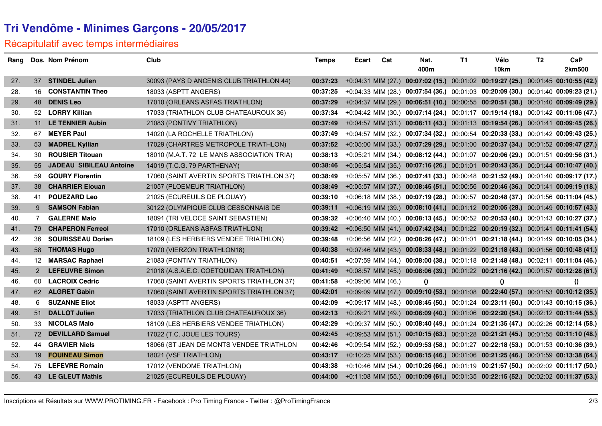# **Tri Vendôme - Minimes Garçons - 20/05/2017**

### Récapitulatif avec temps intermédiaires

| Rang |             | Dos. Nom Prénom                | Club                                       | <b>Temps</b> | Ecart                | Cat | Nat.                                                                                       | T1 | Vélo     | T <sub>2</sub> | CaP          |
|------|-------------|--------------------------------|--------------------------------------------|--------------|----------------------|-----|--------------------------------------------------------------------------------------------|----|----------|----------------|--------------|
|      |             |                                |                                            |              |                      |     | 400m                                                                                       |    | 10km     |                | 2km500       |
| 27.  |             | 37 STINDEL Julien              | 30093 (PAYS D ANCENIS CLUB TRIATHLON 44)   | 00:37:23     |                      |     | +0:04:31 MIM (27.) 00:07:02 (15.) 00:01:02 00:19:27 (25.) 00:01:45 00:10:55 (42.)          |    |          |                |              |
| 28.  | 16          | <b>CONSTANTIN Theo</b>         | 18033 (ASPTT ANGERS)                       | 00:37:25     |                      |     | +0:04:33 MIM (28.) 00:07:54 (36.) 00:01:03 00:20:09 (30.) 00:01:40 00:09:23 (21.)          |    |          |                |              |
| 29.  | 48          | <b>DENIS Leo</b>               | 17010 (ORLEANS ASFAS TRIATHLON)            | 00:37:29     |                      |     | +0:04:37 MIM (29.) 00:06:51 (10.) 00:00:55 00:20:51 (38.) 00:01:40 00:09:49 (29.)          |    |          |                |              |
| 30.  |             | 52 LORRY Killian               | 17033 (TRIATHLON CLUB CHATEAUROUX 36)      | 00:37:34     |                      |     | +0:04:42 MIM (30.) 00:07:14 (24.) 00:01:17 00:19:14 (18.) 00:01:42 00:11:06 (47.)          |    |          |                |              |
| 31.  | 11          | <b>LE TENNIER Aubin</b>        | 21083 (PONTIVY TRIATHLON)                  | 00:37:49     |                      |     | +0:04:57 MIM (31.) 00:08:11 (43.) 00:01:13 00:19:54 (26.) 00:01:41 00:09:45 (26.)          |    |          |                |              |
| 32.  | 67          | <b>MEYER Paul</b>              | 14020 (LA ROCHELLE TRIATHLON)              | 00:37:49     |                      |     | +0:04:57 MIM (32.) 00:07:34 (32.) 00:00:54 00:20:33 (33.) 00:01:42 00:09:43 (25.)          |    |          |                |              |
| 33.  |             | 53 MADREL Kyllian              | 17029 (CHARTRES METROPOLE TRIATHLON)       | 00:37:52     |                      |     | +0:05:00 MIM (33.) 00:07:29 (29.) 00:01:00 00:20:37 (34.) 00:01:52 00:09:47 (27.)          |    |          |                |              |
| 34.  | 30          | <b>ROUSIER Titouan</b>         | 18010 (M.A.T. 72 LE MANS ASSOCIATION TRIA) | 00:38:13     |                      |     | +0:05:21 MIM (34.) 00:08:12 (44.) 00:01:07 00:20:06 (29.) 00:01:51 00:09:56 (31.)          |    |          |                |              |
| 35.  | 55          | <b>JADEAU SIBILEAU Antoine</b> | 14019 (T.C.G. 79 PARTHENAY)                | 00:38:46     |                      |     | +0:05:54 MIM (35.) 00:07:16 (26.) 00:01:01 00:20:43 (35.) 00:01:44 00:10:47 (40.)          |    |          |                |              |
| 36.  |             | 59 GOURY Florentin             | 17060 (SAINT AVERTIN SPORTS TRIATHLON 37)  | 00:38:49     |                      |     | +0:05:57 MIM (36.) 00:07:41 (33.) 00:00:48 00:21:52 (49.) 00:01:40 00:09:17 (17.)          |    |          |                |              |
| 37.  | 38          | <b>CHARRIER Elouan</b>         | 21057 (PLOEMEUR TRIATHLON)                 | 00:38:49     |                      |     | +0:05:57 MIM (37.) 00:08:45 (51.) 00:00:56 00:20:46 (36.) 00:01:41 00:09:19 (18.)          |    |          |                |              |
| 38.  | 41          | <b>POUEZARD Leo</b>            | 21025 (ECUREUILS DE PLOUAY)                | 00:39:10     |                      |     | +0:06:18 MIM (38.) 00:07:19 (28.) 00:00:57 00:20:48 (37.) 00:01:56 00:11:04 (45.)          |    |          |                |              |
| 39.  | 9           | <b>SAMSON Fabian</b>           | 30122 (OLYMPIQUE CLUB CESSONNAIS DE        | 00:39:11     |                      |     | +0:06:19 MIM (39.) 00:08:10 (41.) 00:01:12 00:20:05 (28.) 00:01:49 00:10:57 (43.)          |    |          |                |              |
| 40.  | $7^{\circ}$ | <b>GALERNE Malo</b>            | 18091 (TRI VELOCE SAINT SEBASTIEN)         | 00:39:32     |                      |     | +0:06:40 MIM (40.) 00:08:13 (45.) 00:00:52 00:20:53 (40.) 00:01:43 00:10:27 (37.)          |    |          |                |              |
| 41.  |             | 79 CHAPERON Ferreol            | 17010 (ORLEANS ASFAS TRIATHLON)            | 00:39:42     |                      |     | +0:06:50 MIM (41.) 00:07:42 (34.) 00:01:22 00:20:19 (32.) 00:01:41 00:11:41 (54.)          |    |          |                |              |
| 42.  | 36          | <b>SOURISSEAU Dorian</b>       | 18109 (LES HERBIERS VENDEE TRIATHLON)      | 00:39:48     |                      |     | +0:06:56 MIM (42.) 00:08:26 (47.) 00:01:01 00:21:18 (44.) 00:01:49 00:10:05 (34.)          |    |          |                |              |
| 43.  |             | 58 THOMAS Hugo                 | 17070 (VIERZON TRIATHLON18)                | 00:40:38     |                      |     | +0:07:46 MIM (43.) 00:08:33 (48.) 00:01:22 00:21:18 (43.) 00:01:56 00:10:48 (41.)          |    |          |                |              |
| 44.  |             | 12 MARSAC Raphael              | 21083 (PONTIVY TRIATHLON)                  | 00:40:51     |                      |     | +0:07:59 MIM (44.) 00:08:00 (38.) 00:01:18 00:21:48 (48.) 00:02:11 00:11:04 (46.)          |    |          |                |              |
| 45.  | $2^{\circ}$ | <b>LEFEUVRE Simon</b>          | 21018 (A.S.A.E.C. COETQUIDAN TRIATHLON)    | 00:41:49     |                      |     | +0:08:57 MIM (45.) 00:08:06 (39.) 00:01:22 00:21:16 (42.) 00:01:57 00:12:28 (61.)          |    |          |                |              |
| 46.  |             | 60 LACROIX Cedric              | 17060 (SAINT AVERTIN SPORTS TRIATHLON 37)  | 00:41:58     | $+0.09:06$ MIM (46.) |     | $\theta$                                                                                   |    | $\theta$ |                | $\mathbf{0}$ |
| 47.  |             | 62 ALGRET Gabin                | 17060 (SAINT AVERTIN SPORTS TRIATHLON 37)  | 00:42:01     |                      |     | +0:09:09 MIM (47.) 00:09:10 (53.) 00:01:08 00:22:40 (57.) 00:01:53 00:10:12 (35.)          |    |          |                |              |
| 48.  |             | 6 SUZANNE Eliot                | 18033 (ASPTT ANGERS)                       | 00:42:09     |                      |     | +0:09:17 MIM (48.) 00:08:45 (50.) 00:01:24 00:23:11 (60.) 00:01:43 00:10:15 (36.)          |    |          |                |              |
| 49.  | 51          | <b>DALLOT Julien</b>           | 17033 (TRIATHLON CLUB CHATEAUROUX 36)      | 00:42:13     |                      |     | +0:09:21 MIM (49.) 00:08:09 (40.) 00:01:06 00:22:20 (54.) 00:02:12 00:11:44 (55.)          |    |          |                |              |
| 50.  | 33          | <b>NICOLAS Malo</b>            | 18109 (LES HERBIERS VENDEE TRIATHLON)      | 00:42:29     |                      |     | +0:09:37 MIM (50.) 00:08:40 (49.) 00:01:24 00:21:35 (47.) 00:02:26 00:12:14 (58.)          |    |          |                |              |
| 51.  |             | 72 DEVILLARD Samuel            | 17022 (T.C. JOUE LES TOURS)                | 00:42:45     |                      |     | +0:09:53 MIM (51.) 00:10:15 (63.) 00:01:28 00:21:21 (45.) 00:01:55 00:11:10 (48.)          |    |          |                |              |
| 52.  | 44          | <b>GRAVIER Niels</b>           | 18066 (ST JEAN DE MONTS VENDEE TRIATHLON   | 00:42:46     |                      |     | +0:09:54 MIM (52.) 00:09:53 (58.) 00:01:27 00:22:18 (53.) 00:01:53 00:10:36 (39.)          |    |          |                |              |
| 53.  | 19          | <b>FOUINEAU Simon</b>          | 18021 (VSF TRIATHLON)                      | 00:43:17     |                      |     | +0:10:25 MIM (53.) 00:08:15 (46.) 00:01:06 00:21:25 (46.) 00:01:59 00:13:38 (64.)          |    |          |                |              |
| 54.  |             | 75 LEFEVRE Romain              | 17012 (VENDOME TRIATHLON)                  | 00:43:38     |                      |     | +0:10:46 MIM (54.) 00:10:26 (66.) 00:01:19 00:21:57 (50.) 00:02:02 00:11:17 (50.)          |    |          |                |              |
| 55.  |             | 43 LE GLEUT Mathis             | 21025 (ECUREUILS DE PLOUAY)                |              |                      |     | 00:44:00 +0:11:08 MIM (55.) 00:10:09 (61.) 00:01:35 00:22:15 (52.) 00:02:02 00:11:37 (53.) |    |          |                |              |